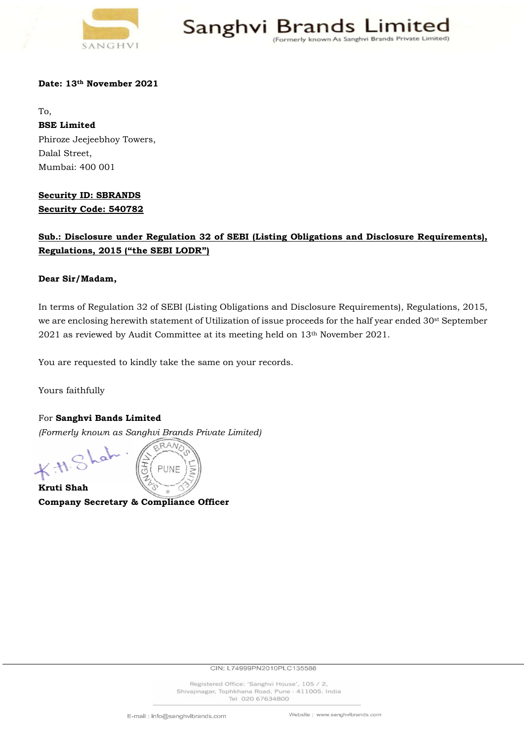

Sanghvi Brai As Sanghvi Brands Private Limited)

### Date: 13th November 2021

To, BSE Limited Phiroze Jeejeebhoy Towers, Dalal Street, Mumbai: 400 001

## Security ID: SBRANDS Security Code: 540782

# Sub.: Disclosure under Regulation 32 of SEBI (Listing Obligations and Disclosure Requirements), Regulations, 2015 ("the SEBI LODR")

### Dear Sir/Madam,

In terms of Regulation 32 of SEBI (Listing Obligations and Disclosure Requirements), Regulations, 2015, we are enclosing herewith statement of Utilization of issue proceeds for the half year ended 30st September 2021 as reviewed by Audit Committee at its meeting held on 13th November 2021.

You are requested to kindly take the same on your records.

Yours faithfully

For Sanghvi Bands Limited (Formerly known as Sanghvi Brands Private Limited)

RAN PUNF Kruti Shah

Company Secretary & Compliance Officer

CIN: L74999PN2010PLC135586

Registered Office: 'Sanghvi House', 105 / 2, Shivajinagar, Tophkhana Road, Pune - 411005. India Tel 020 67634800